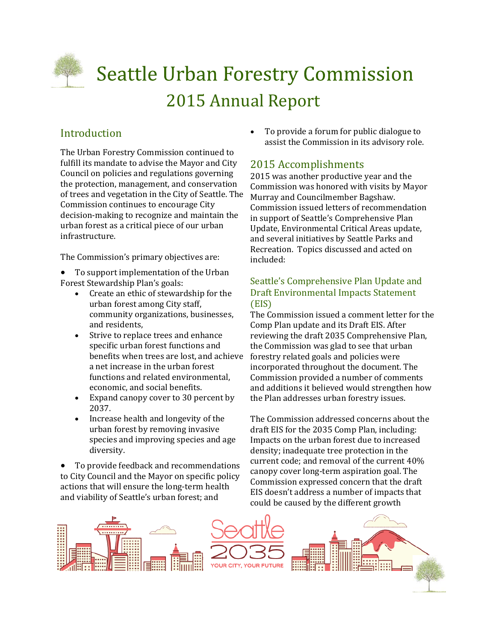

# **Seattle Urban Forestry Commission** 2015 Annual Report

## Introduction

The Urban Forestry Commission continued to fulfill its mandate to advise the Mayor and City Council on policies and regulations governing the protection, management, and conservation of trees and vegetation in the City of Seattle. The Commission continues to encourage City decision-making to recognize and maintain the urban forest as a critical piece of our urban infrastructure. 

The Commission's primary objectives are:

- To support implementation of the Urban Forest Stewardship Plan's goals:
	- Create an ethic of stewardship for the urban forest among City staff, community organizations, businesses, and residents.
	- Strive to replace trees and enhance specific urban forest functions and benefits when trees are lost, and achieve a net increase in the urban forest functions and related environmental. economic, and social benefits.
	- Expand canopy cover to 30 percent by 2037.
	- Increase health and longevity of the urban forest by removing invasive species and improving species and age diversity.

To provide feedback and recommendations to City Council and the Mayor on specific policy actions that will ensure the long-term health and viability of Seattle's urban forest; and

To provide a forum for public dialogue to assist the Commission in its advisory role.

## 2015 Accomplishments

2015 was another productive year and the Commission was honored with visits by Mayor Murray and Councilmember Bagshaw. Commission issued letters of recommendation in support of Seattle's Comprehensive Plan Update, Environmental Critical Areas update, and several initiatives by Seattle Parks and Recreation. Topics discussed and acted on included: 

### Seattle's Comprehensive Plan Update and Draft Environmental Impacts Statement (EIS)

The Commission issued a comment letter for the Comp Plan update and its Draft EIS. After reviewing the draft 2035 Comprehensive Plan, the Commission was glad to see that urban forestry related goals and policies were incorporated throughout the document. The Commission provided a number of comments and additions it believed would strengthen how the Plan addresses urban forestry issues.

The Commission addressed concerns about the draft EIS for the 2035 Comp Plan, including: Impacts on the urban forest due to increased density; inadequate tree protection in the current code; and removal of the current  $40\%$ canopy cover long-term aspiration goal. The Commission expressed concern that the draft EIS doesn't address a number of impacts that could be caused by the different growth

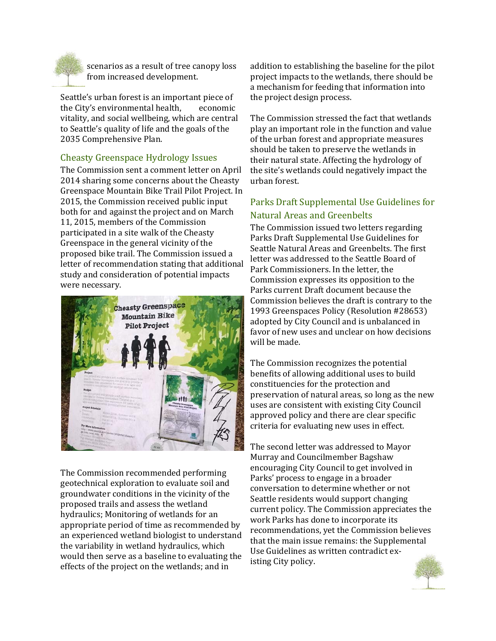

scenarios as a result of tree canopy loss from increased development.

Seattle's urban forest is an important piece of the City's environmental health, economic vitality, and social wellbeing, which are central to Seattle's quality of life and the goals of the 2035 Comprehensive Plan.

#### Cheasty Greenspace Hydrology Issues

The Commission sent a comment letter on April 2014 sharing some concerns about the Cheasty Greenspace Mountain Bike Trail Pilot Project. In 2015, the Commission received public input both for and against the project and on March 11, 2015, members of the Commission participated in a site walk of the Cheasty Greenspace in the general vicinity of the proposed bike trail. The Commission issued a letter of recommendation stating that additional study and consideration of potential impacts were necessary.



The Commission recommended performing geotechnical exploration to evaluate soil and groundwater conditions in the vicinity of the proposed trails and assess the wetland hydraulics; Monitoring of wetlands for an appropriate period of time as recommended by an experienced wetland biologist to understand the variability in wetland hydraulics, which would then serve as a baseline to evaluating the effects of the project on the wetlands; and in

addition to establishing the baseline for the pilot project impacts to the wetlands, there should be a mechanism for feeding that information into the project design process.

The Commission stressed the fact that wetlands play an important role in the function and value of the urban forest and appropriate measures should be taken to preserve the wetlands in their natural state. Affecting the hydrology of the site's wetlands could negatively impact the urban forest. 

## Parks Draft Supplemental Use Guidelines for Natural Areas and Greenbelts

The Commission issued two letters regarding Parks Draft Supplemental Use Guidelines for Seattle Natural Areas and Greenbelts. The first letter was addressed to the Seattle Board of Park Commissioners. In the letter, the Commission expresses its opposition to the Parks current Draft document because the Commission believes the draft is contrary to the 1993 Greenspaces Policy (Resolution #28653) adopted by City Council and is unbalanced in favor of new uses and unclear on how decisions will be made.

The Commission recognizes the potential benefits of allowing additional uses to build constituencies for the protection and preservation of natural areas, so long as the new uses are consistent with existing City Council approved policy and there are clear specific criteria for evaluating new uses in effect.

The second letter was addressed to Mayor Murray and Councilmember Bagshaw encouraging City Council to get involved in Parks' process to engage in a broader conversation to determine whether or not Seattle residents would support changing current policy. The Commission appreciates the work Parks has done to incorporate its recommendations, yet the Commission believes that the main issue remains: the Supplemental Use Guidelines as written contradict existing City policy.

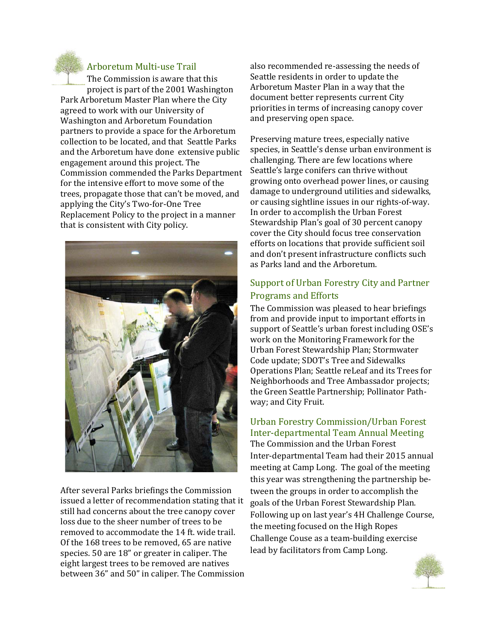

#### Arboretum Multi‐use Trail

The Commission is aware that this project is part of the 2001 Washington Park Arboretum Master Plan where the City agreed to work with our University of Washington and Arboretum Foundation partners to provide a space for the Arboretum collection to be located, and that Seattle Parks and the Arboretum have done extensive public engagement around this project. The Commission commended the Parks Department for the intensive effort to move some of the trees, propagate those that can't be moved, and applying the City's Two-for-One Tree Replacement Policy to the project in a manner that is consistent with City policy.



After several Parks briefings the Commission issued a letter of recommendation stating that it still had concerns about the tree canopy cover loss due to the sheer number of trees to be removed to accommodate the 14 ft. wide trail. Of the 168 trees to be removed, 65 are native species. 50 are 18" or greater in caliper. The eight largest trees to be removed are natives between 36" and 50" in caliper. The Commission

also recommended re-assessing the needs of Seattle residents in order to update the Arboretum Master Plan in a way that the document better represents current City priorities in terms of increasing canopy cover and preserving open space.

Preserving mature trees, especially native species, in Seattle's dense urban environment is challenging. There are few locations where Seattle's large conifers can thrive without growing onto overhead power lines, or causing damage to underground utilities and sidewalks, or causing sightline issues in our rights-of-way. In order to accomplish the Urban Forest Stewardship Plan's goal of 30 percent canopy cover the City should focus tree conservation efforts on locations that provide sufficient soil and don't present infrastructure conflicts such as Parks land and the Arboretum.

### Support of Urban Forestry City and Partner Programs and Efforts

The Commission was pleased to hear briefings from and provide input to important efforts in support of Seattle's urban forest including OSE's work on the Monitoring Framework for the Urban Forest Stewardship Plan; Stormwater Code update; SDOT's Tree and Sidewalks Operations Plan; Seattle reLeaf and its Trees for Neighborhoods and Tree Ambassador projects; the Green Seattle Partnership; Pollinator Pathway; and City Fruit.

## Urban Forestry Commission/Urban Forest Inter‐departmental Team Annual Meeting

The Commission and the Urban Forest Inter-departmental Team had their 2015 annual meeting at Camp Long. The goal of the meeting this year was strengthening the partnership between the groups in order to accomplish the goals of the Urban Forest Stewardship Plan. Following up on last year's 4H Challenge Course, the meeting focused on the High Ropes Challenge Couse as a team-building exercise lead by facilitators from Camp Long.